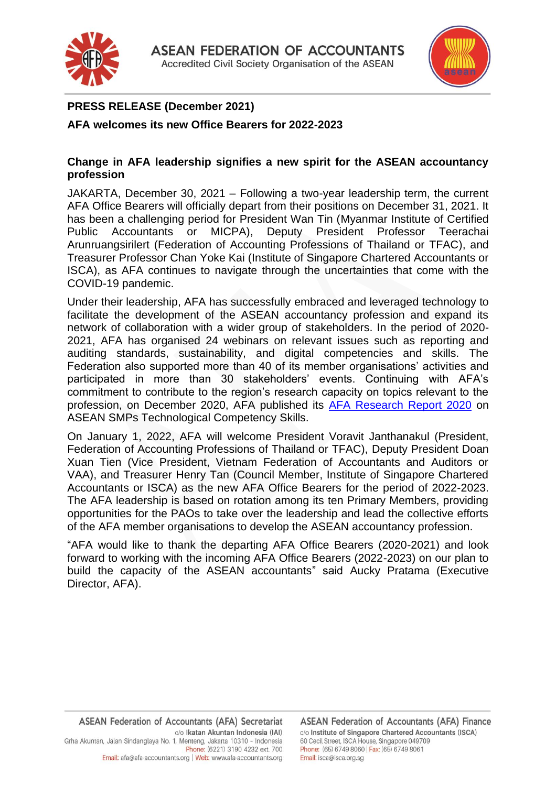



## **PRESS RELEASE (December 2021)**

**AFA welcomes its new Office Bearers for 2022-2023**

## **Change in AFA leadership signifies a new spirit for the ASEAN accountancy profession**

JAKARTA, December 30, 2021 – Following a two-year leadership term, the current AFA Office Bearers will officially depart from their positions on December 31, 2021. It has been a challenging period for President Wan Tin (Myanmar Institute of Certified Public Accountants or MICPA), Deputy President Professor Teerachai Arunruangsirilert (Federation of Accounting Professions of Thailand or TFAC), and Treasurer Professor Chan Yoke Kai (Institute of Singapore Chartered Accountants or ISCA), as AFA continues to navigate through the uncertainties that come with the COVID-19 pandemic.

Under their leadership, AFA has successfully embraced and leveraged technology to facilitate the development of the ASEAN accountancy profession and expand its network of collaboration with a wider group of stakeholders. In the period of 2020- 2021, AFA has organised 24 webinars on relevant issues such as reporting and auditing standards, sustainability, and digital competencies and skills. The Federation also supported more than 40 of its member organisations' activities and participated in more than 30 stakeholders' events. Continuing with AFA's commitment to contribute to the region's research capacity on topics relevant to the profession, on December 2020, AFA published its [AFA Research Report 2020](http://afa-accountants.org/news-107-AFA%20Research%20Report%202020.html) on ASEAN SMPs Technological Competency Skills.

On January 1, 2022, AFA will welcome President Voravit Janthanakul (President, Federation of Accounting Professions of Thailand or TFAC), Deputy President Doan Xuan Tien (Vice President, Vietnam Federation of Accountants and Auditors or VAA), and Treasurer Henry Tan (Council Member, Institute of Singapore Chartered Accountants or ISCA) as the new AFA Office Bearers for the period of 2022-2023. The AFA leadership is based on rotation among its ten Primary Members, providing opportunities for the PAOs to take over the leadership and lead the collective efforts of the AFA member organisations to develop the ASEAN accountancy profession.

"AFA would like to thank the departing AFA Office Bearers (2020-2021) and look forward to working with the incoming AFA Office Bearers (2022-2023) on our plan to build the capacity of the ASEAN accountants" said Aucky Pratama (Executive Director, AFA).